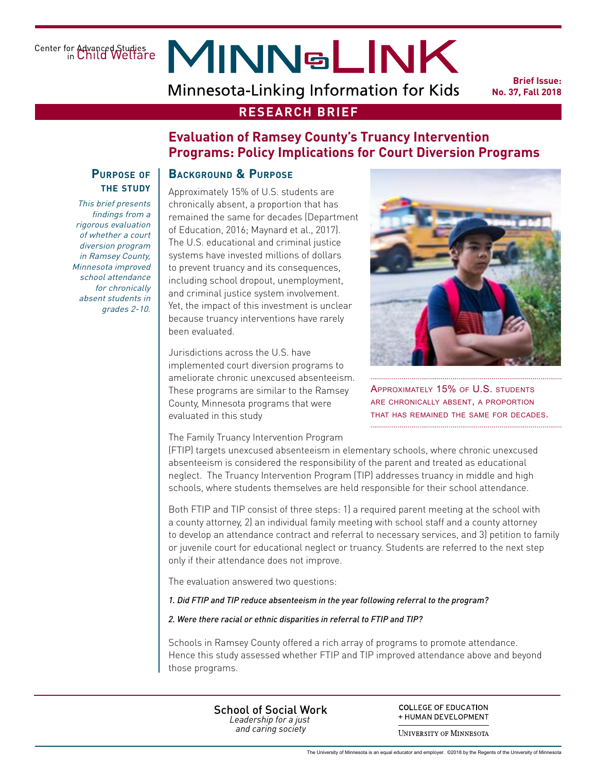Center for Advanced Studies<br>in Child Welfare

# MINNSLINK

Minnesota-Linking Information for Kids

**Brief Issue: No. 37, Fall 2018**

## **RESEARCH BRIEF**

# **Evaluation of Ramsey County's Truancy Intervention Programs: Policy Implications for Court Diversion Programs**

#### **Purpose of the study**

This brief presents findings from a rigorous evaluation of whether a court diversion program in Ramsey County, Minnesota improved school attendance for chronically absent students in grades 2-10.

Approximately 15% of U.S. students are chronically absent, a proportion that has remained the same for decades (Department of Education, 2016; Maynard et al., 2017). The U.S. educational and criminal justice systems have invested millions of dollars to prevent truancy and its consequences, including school dropout, unemployment, and criminal justice system involvement. Yet, the impact of this investment is unclear

because truancy interventions have rarely

been evaluated.

**Background & Purpose**

Jurisdictions across the U.S. have implemented court diversion programs to ameliorate chronic unexcused absenteeism. These programs are similar to the Ramsey County, Minnesota programs that were evaluated in this study

The Family Truancy Intervention Program

(FTIP) targets unexcused absenteeism in elementary schools, where chronic unexcused absenteeism is considered the responsibility of the parent and treated as educational neglect. The Truancy Intervention Program (TIP) addresses truancy in middle and high schools, where students themselves are held responsible for their school attendance.

Both FTIP and TIP consist of three steps: 1) a required parent meeting at the school with a county attorney, 2) an individual family meeting with school staff and a county attorney to develop an attendance contract and referral to necessary services, and 3) petition to family or juvenile court for educational neglect or truancy. Students are referred to the next step only if their attendance does not improve.

The evaluation answered two questions:

#### *1. Did FTIP and TIP reduce absenteeism in the year following referral to the program?*

*2. Were there racial or ethnic disparities in referral to FTIP and TIP?*

Schools in Ramsey County offered a rich array of programs to promote attendance. Hence this study assessed whether FTIP and TIP improved attendance above and beyond those programs.

> School of Social Work *Leadership for a just and caring society*

**COLLEGE OF EDUCATION** + HUMAN DEVELOPMENT

UNIVERSITY OF MINNESOTA

Approximately 15% of U.S. students are chronically absent, a proportion

that has remained the same for decades.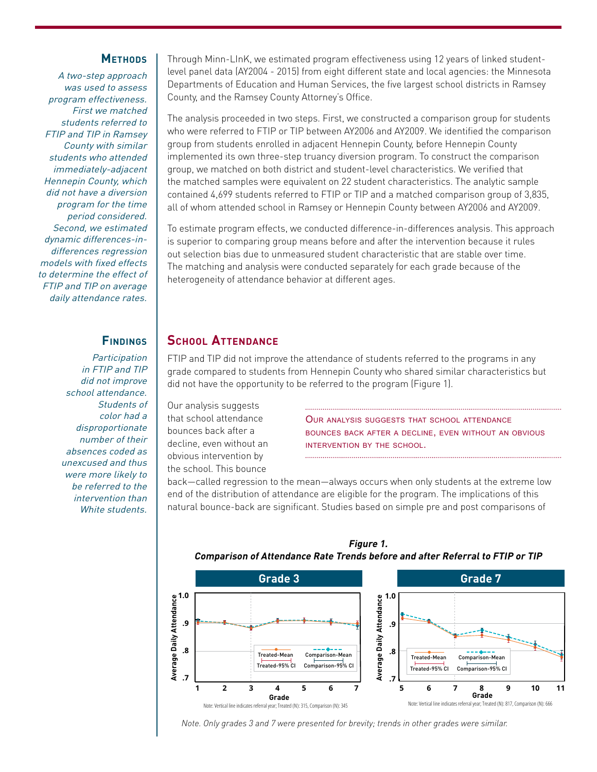#### **Methods**

A two-step approach was used to assess program effectiveness. First we matched students referred to FTIP and TIP in Ramsey County with similar students who attended immediately-adjacent Hennepin County, which did not have a diversion program for the time period considered. Second, we estimated dynamic differences-indifferences regression models with fixed effects to determine the effect of FTIP and TIP on average daily attendance rates.

#### **Findings**

**Participation** in FTIP and TIP did not improve school attendance. Students of color had a disproportionate number of their absences coded as unexcused and thus were more likely to be referred to the intervention than White students.

Through Minn-LInK, we estimated program effectiveness using 12 years of linked studentlevel panel data (AY2004 - 2015) from eight different state and local agencies: the Minnesota Departments of Education and Human Services, the five largest school districts in Ramsey County, and the Ramsey County Attorney's Office.

The analysis proceeded in two steps. First, we constructed a comparison group for students who were referred to FTIP or TIP between AY2006 and AY2009. We identified the comparison group from students enrolled in adjacent Hennepin County, before Hennepin County implemented its own three-step truancy diversion program. To construct the comparison group, we matched on both district and student-level characteristics. We verified that the matched samples were equivalent on 22 student characteristics. The analytic sample contained 4,699 students referred to FTIP or TIP and a matched comparison group of 3,835, all of whom attended school in Ramsey or Hennepin County between AY2006 and AY2009.

To estimate program effects, we conducted difference-in-differences analysis. This approach is superior to comparing group means before and after the intervention because it rules out selection bias due to unmeasured student characteristic that are stable over time. The matching and analysis were conducted separately for each grade because of the heterogeneity of attendance behavior at different ages.

## **School Attendance**

FTIP and TIP did not improve the attendance of students referred to the programs in any grade compared to students from Hennepin County who shared similar characteristics but did not have the opportunity to be referred to the program (Figure 1).

Our analysis suggests that school attendance bounces back after a decline, even without an obvious intervention by the school. This bounce

OUR ANALYSIS SUGGESTS THAT SCHOOL ATTENDANCE bounces back after <sup>a</sup> decline, even without an obvious intervention by the school. **.9**

are sensed. This searies<br>back—called regression to the mean—always occurs when only students at the extreme low end of the distribution of attendance are eligible for the program. The implications of this natural bounce-back are significant. Studies based on simple pre and post comparisons of **.7 0 to 2 5 and post companions of** 





*Note. Only grades 3 and 7 were presented for brevity; trends in other grades were similar.*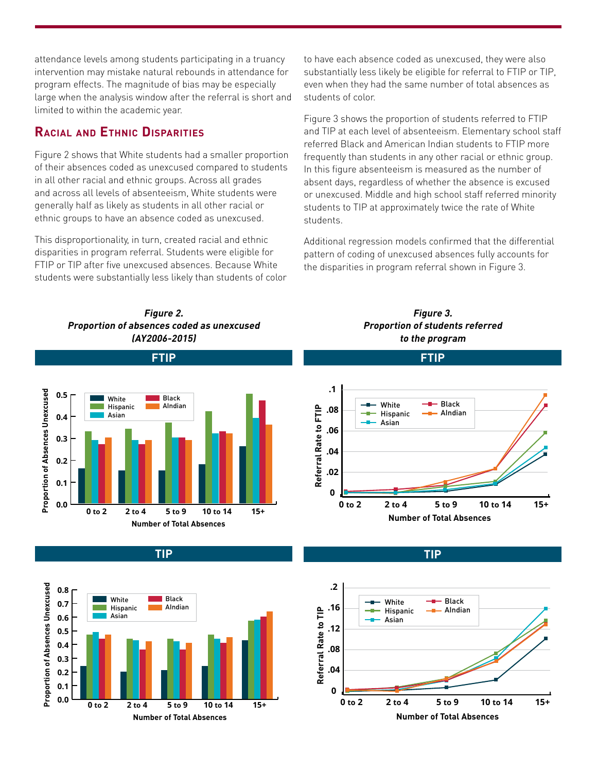attendance levels among students participating in a truancy intervention may mistake natural rebounds in attendance for program effects. The magnitude of bias may be especially large when the analysis window after the referral is short and limited to within the academic year.

## **Racial and Ethnic Disparities**

Figure 2 shows that White students had a smaller proportion of their absences coded as unexcused compared to students in all other racial and ethnic groups. Across all grades and across all levels of absenteeism, White students were generally half as likely as students in all other racial or ethnic groups to have an absence coded as unexcused.

This disproportionality, in turn, created racial and ethnic disparities in program referral. Students were eligible for FTIP or TIP after five unexcused absences. Because White students were substantially less likely than students of color

**Figure 2.**

to have each absence coded as unexcused, they were also substantially less likely be eligible for referral to FTIP or TIP, even when they had the same number of total absences as students of color.

Figure 3 shows the proportion of students referred to FTIP and TIP at each level of absenteeism. Elementary school staff referred Black and American Indian students to FTIP more frequently than students in any other racial or ethnic group. In this figure absenteeism is measured as the number of absent days, regardless of whether the absence is excused or unexcused. Middle and high school staff referred minority students to TIP at approximately twice the rate of White students.

Additional regression models confirmed that the differential pattern of coding of unexcused absences fully accounts for the disparities in program referral shown in Figure 3.



**TIP**

 $\frac{1}{2}$  0.0 **1 2** to 4 5 to 9 10 to 14 15+ **Number of Total Absences** 

**0 to 2 2 to 4 5 to 9 10 to 14 15+ 1 2 3 4 5 6 7**





**FTIP**



**TIP**